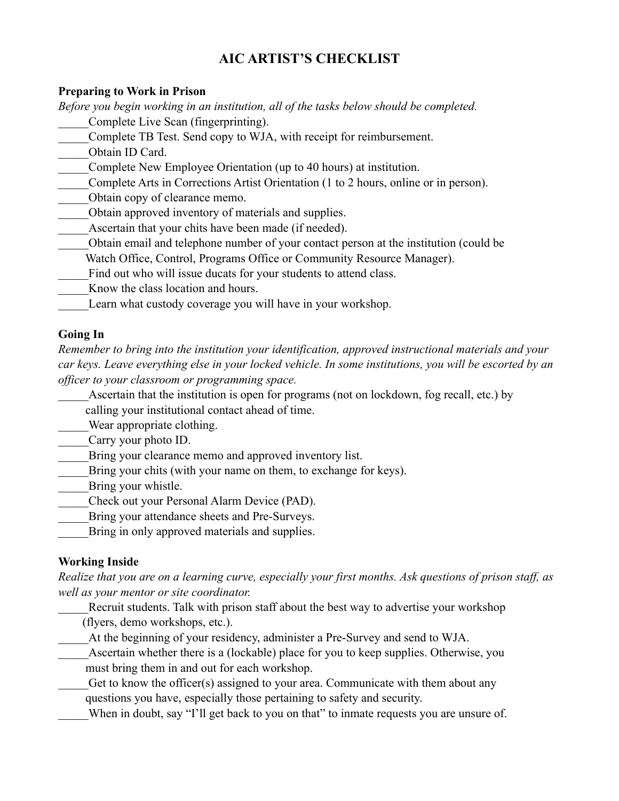# **AIC ARTIST'S CHECKLIST**

#### **Preparing to Work in Prison**

*Before you begin working in an institution, all of the tasks below should be completed.*  \_\_\_\_\_Complete Live Scan (fingerprinting).

- \_\_\_\_\_Complete TB Test. Send copy to WJA, with receipt for reimbursement.
- \_\_\_\_\_Obtain ID Card.
- \_\_\_\_\_Complete New Employee Orientation (up to 40 hours) at institution.
- \_\_\_\_\_Complete Arts in Corrections Artist Orientation (1 to 2 hours, online or in person).
- Obtain copy of clearance memo.
- Obtain approved inventory of materials and supplies.
- Ascertain that your chits have been made (if needed).
- \_\_\_\_\_Obtain email and telephone number of your contact person at the institution (could be
	- Watch Office, Control, Programs Office or Community Resource Manager).
- Find out who will issue ducats for your students to attend class.
- Know the class location and hours.
- Learn what custody coverage you will have in your workshop.

#### **Going In**

*Remember to bring into the institution your identification, approved instructional materials and your car keys. Leave everything else in your locked vehicle. In some institutions, you will be escorted by an officer to your classroom or programming space.*

Ascertain that the institution is open for programs (not on lockdown, fog recall, etc.) by calling your institutional contact ahead of time.

Wear appropriate clothing.

Carry your photo ID.

Bring your clearance memo and approved inventory list.

- Bring your chits (with your name on them, to exchange for keys).
- Bring your whistle.
- \_\_\_\_\_Check out your Personal Alarm Device (PAD).
- Bring your attendance sheets and Pre-Surveys.
- Bring in only approved materials and supplies.

## **Working Inside**

*Realize that you are on a learning curve, especially your first months. Ask questions of prison staff, as well as your mentor or site coordinator.*

Recruit students. Talk with prison staff about the best way to advertise your workshop (flyers, demo workshops, etc.).

- \_\_\_\_\_At the beginning of your residency, administer a Pre-Survey and send to WJA.
- Ascertain whether there is a (lockable) place for you to keep supplies. Otherwise, you must bring them in and out for each workshop.
- Get to know the officer(s) assigned to your area. Communicate with them about any questions you have, especially those pertaining to safety and security.
- When in doubt, say "I'll get back to you on that" to inmate requests you are unsure of.